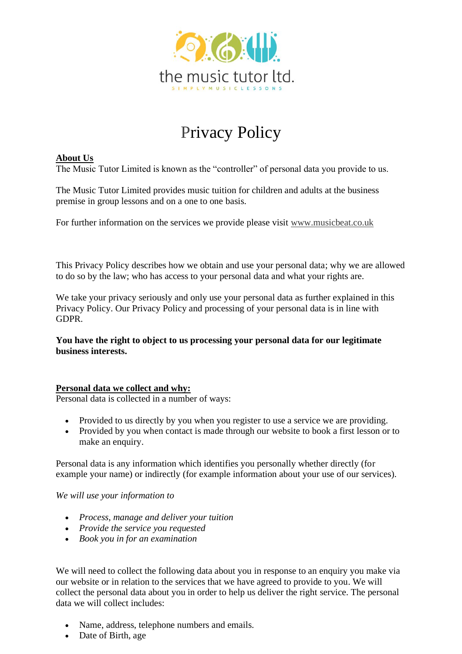

# Privacy Policy

## **About Us**

The Music Tutor Limited is known as the "controller" of personal data you provide to us.

The Music Tutor Limited provides music tuition for children and adults at the business premise in group lessons and on a one to one basis.

For further information on the services we provide please visit [www.musicbeat.co.uk](http://www.musicbeat.co.uk/)

This Privacy Policy describes how we obtain and use your personal data; why we are allowed to do so by the law; who has access to your personal data and what your rights are.

We take your privacy seriously and only use your personal data as further explained in this Privacy Policy. Our Privacy Policy and processing of your personal data is in line with GDPR.

**You have the right to object to us processing your personal data for our legitimate business interests.**

## **Personal data we collect and why:**

Personal data is collected in a number of ways:

- Provided to us directly by you when you register to use a service we are providing.
- Provided by you when contact is made through our website to book a first lesson or to make an enquiry.

Personal data is any information which identifies you personally whether directly (for example your name) or indirectly (for example information about your use of our services).

*We will use your information to* 

- *Process, manage and deliver your tuition*
- *Provide the service you requested*
- *Book you in for an examination*

We will need to collect the following data about you in response to an enquiry you make via our website or in relation to the services that we have agreed to provide to you. We will collect the personal data about you in order to help us deliver the right service. The personal data we will collect includes:

- Name, address, telephone numbers and emails.
- Date of Birth, age